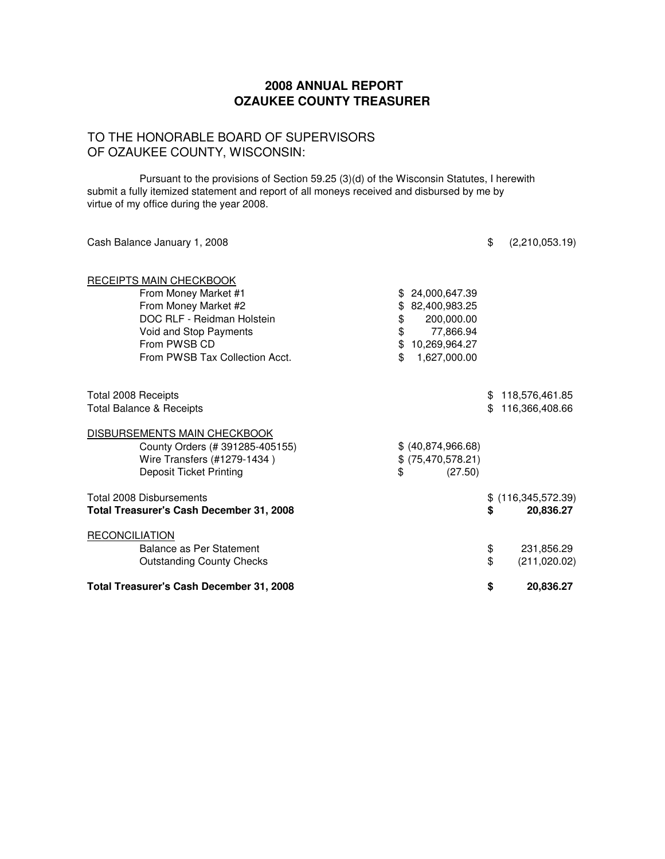## TO THE HONORABLE BOARD OF SUPERVISORS OF OZAUKEE COUNTY, WISCONSIN:

Pursuant to the provisions of Section 59.25 (3)(d) of the Wisconsin Statutes, I herewith submit a fully itemized statement and report of all moneys received and disbursed by me by virtue of my office during the year 2008.

| Cash Balance January 1, 2008                       |          |                         | \$  | (2,210,053.19)       |
|----------------------------------------------------|----------|-------------------------|-----|----------------------|
| RECEIPTS MAIN CHECKBOOK                            |          |                         |     |                      |
| From Money Market #1                               |          | 24,000,647.39           |     |                      |
| From Money Market #2<br>DOC RLF - Reidman Holstein | \$       | 82,400,983.25           |     |                      |
| Void and Stop Payments                             | \$<br>\$ | 200,000.00<br>77,866.94 |     |                      |
| From PWSB CD                                       | \$       | 10,269,964.27           |     |                      |
| From PWSB Tax Collection Acct.                     | \$.      | 1,627,000.00            |     |                      |
| Total 2008 Receipts                                |          |                         |     | \$118,576,461.85     |
| <b>Total Balance &amp; Receipts</b>                |          |                         | \$. | 116,366,408.66       |
| DISBURSEMENTS MAIN CHECKBOOK                       |          |                         |     |                      |
| County Orders (# 391285-405155)                    |          | \$ (40,874,966.68)      |     |                      |
| Wire Transfers (#1279-1434)                        |          | \$ (75,470,578.21)      |     |                      |
| <b>Deposit Ticket Printing</b>                     | \$       | (27.50)                 |     |                      |
| Total 2008 Disbursements                           |          |                         |     | $$$ (116,345,572.39) |
| <b>Total Treasurer's Cash December 31, 2008</b>    |          |                         | \$  | 20,836.27            |
| <b>RECONCILIATION</b>                              |          |                         |     |                      |
| Balance as Per Statement                           |          |                         | \$  | 231,856.29           |
| <b>Outstanding County Checks</b>                   |          |                         | \$  | (211, 020.02)        |
| Total Treasurer's Cash December 31, 2008           |          |                         | \$  | 20,836.27            |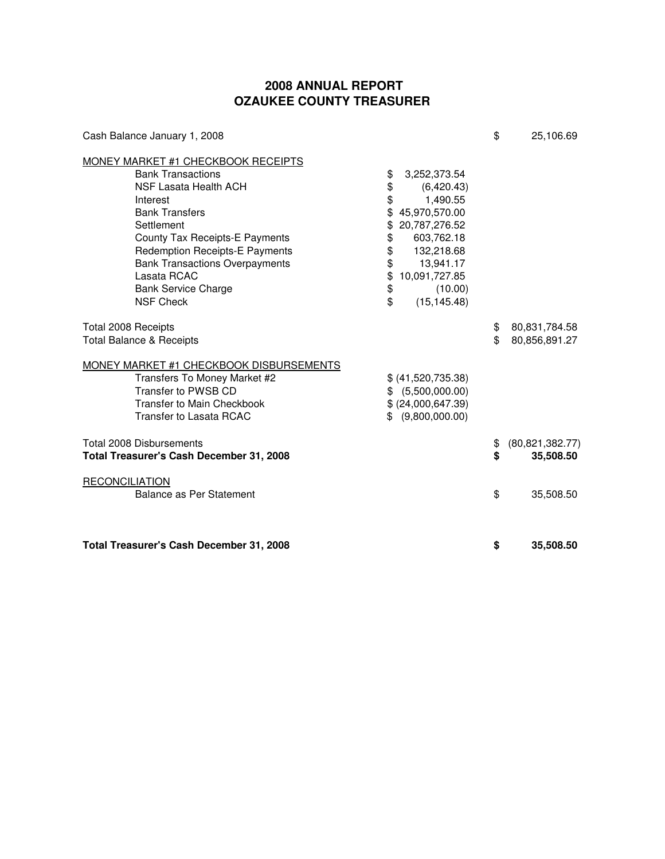| Cash Balance January 1, 2008                                                                                                                                                                                                                                                                                                           |                                                                                                                                                                                                                                             | \$       | 25,106.69                      |
|----------------------------------------------------------------------------------------------------------------------------------------------------------------------------------------------------------------------------------------------------------------------------------------------------------------------------------------|---------------------------------------------------------------------------------------------------------------------------------------------------------------------------------------------------------------------------------------------|----------|--------------------------------|
| <b>MONEY MARKET #1 CHECKBOOK RECEIPTS</b><br><b>Bank Transactions</b><br>NSF Lasata Health ACH<br>Interest<br><b>Bank Transfers</b><br>Settlement<br>County Tax Receipts-E Payments<br><b>Redemption Receipts-E Payments</b><br><b>Bank Transactions Overpayments</b><br>Lasata RCAC<br><b>Bank Service Charge</b><br><b>NSF Check</b> | \$<br>3,252,373.54<br>\$<br>(6,420.43)<br>\$<br>1,490.55<br>45,970,570.00<br>\$<br>20,787,276.52<br>\$<br>603,762.18<br>\$<br>\$<br>132,218.68<br>\$<br>13,941.17<br>\$<br>10,091,727.85<br>\$<br>(10.00)<br>$\mathfrak{P}$<br>(15, 145.48) |          |                                |
| Total 2008 Receipts<br><b>Total Balance &amp; Receipts</b>                                                                                                                                                                                                                                                                             |                                                                                                                                                                                                                                             | \$<br>\$ | 80,831,784.58<br>80,856,891.27 |
| MONEY MARKET #1 CHECKBOOK DISBURSEMENTS<br>Transfers To Money Market #2<br>Transfer to PWSB CD<br>Transfer to Main Checkbook<br>Transfer to Lasata RCAC                                                                                                                                                                                | \$ (41,520,735.38)<br>\$ (5,500,000.00)<br>\$ (24,000,647.39)<br>(9,800,000.00)<br>\$                                                                                                                                                       |          |                                |
| <b>Total 2008 Disbursements</b><br>Total Treasurer's Cash December 31, 2008                                                                                                                                                                                                                                                            |                                                                                                                                                                                                                                             | \$<br>\$ | (80, 821, 382.77)<br>35,508.50 |
| <b>RECONCILIATION</b><br>Balance as Per Statement                                                                                                                                                                                                                                                                                      |                                                                                                                                                                                                                                             | \$       | 35,508.50                      |
| Total Treasurer's Cash December 31, 2008                                                                                                                                                                                                                                                                                               |                                                                                                                                                                                                                                             | \$       | 35,508.50                      |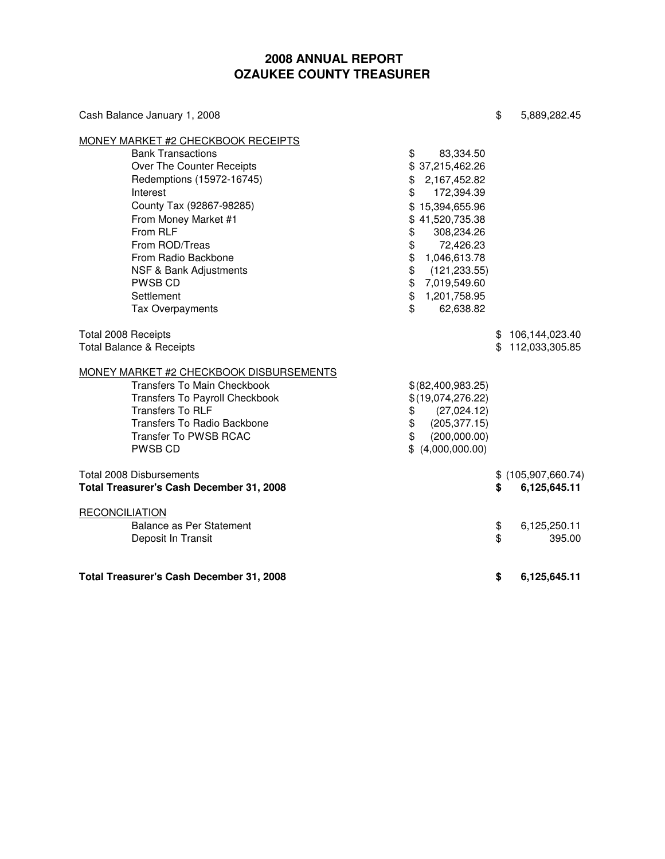| Cash Balance January 1, 2008                                                                                                                                                                                                                                                                                                                     |                                                                                                                                                                                                         | \$       | 5,889,282.45                         |
|--------------------------------------------------------------------------------------------------------------------------------------------------------------------------------------------------------------------------------------------------------------------------------------------------------------------------------------------------|---------------------------------------------------------------------------------------------------------------------------------------------------------------------------------------------------------|----------|--------------------------------------|
| MONEY MARKET #2 CHECKBOOK RECEIPTS                                                                                                                                                                                                                                                                                                               |                                                                                                                                                                                                         |          |                                      |
| <b>Bank Transactions</b><br>\$<br>Over The Counter Receipts<br>Redemptions (15972-16745)<br>\$<br>Interest<br>\$<br>County Tax (92867-98285)<br>From Money Market #1<br>\$<br>From RLF<br>\$<br>\$<br>From ROD/Treas<br>\$<br>From Radio Backbone<br>\$<br>NSF & Bank Adjustments<br>\$<br>PWSB CD<br>\$<br>Settlement<br>\$<br>Tax Overpayments | 83,334.50<br>\$37,215,462.26<br>2,167,452.82<br>172,394.39<br>\$15,394,655.96<br>41,520,735.38<br>308,234.26<br>72,426.23<br>1,046,613.78<br>(121, 233.55)<br>7,019,549.60<br>1,201,758.95<br>62,638.82 |          |                                      |
| Total 2008 Receipts<br><b>Total Balance &amp; Receipts</b>                                                                                                                                                                                                                                                                                       |                                                                                                                                                                                                         | \$<br>\$ | 106,144,023.40<br>112,033,305.85     |
| MONEY MARKET #2 CHECKBOOK DISBURSEMENTS<br><b>Transfers To Main Checkbook</b><br>Transfers To Payroll Checkbook<br><b>Transfers To RLF</b><br>\$<br>\$<br><b>Transfers To Radio Backbone</b><br>\$<br><b>Transfer To PWSB RCAC</b><br>\$<br><b>PWSB CD</b>                                                                                       | \$(82,400,983.25)<br>\$(19,074,276.22)<br>(27,024.12)<br>(205, 377.15)<br>(200,000.00)<br>(4,000,000.00)                                                                                                |          |                                      |
| <b>Total 2008 Disbursements</b><br>Total Treasurer's Cash December 31, 2008                                                                                                                                                                                                                                                                      |                                                                                                                                                                                                         | \$       | $$$ (105,907,660.74)<br>6,125,645.11 |
| <b>RECONCILIATION</b><br>Balance as Per Statement<br>Deposit In Transit                                                                                                                                                                                                                                                                          |                                                                                                                                                                                                         | \$<br>\$ | 6,125,250.11<br>395.00               |
| Total Treasurer's Cash December 31, 2008                                                                                                                                                                                                                                                                                                         |                                                                                                                                                                                                         | \$       | 6,125,645.11                         |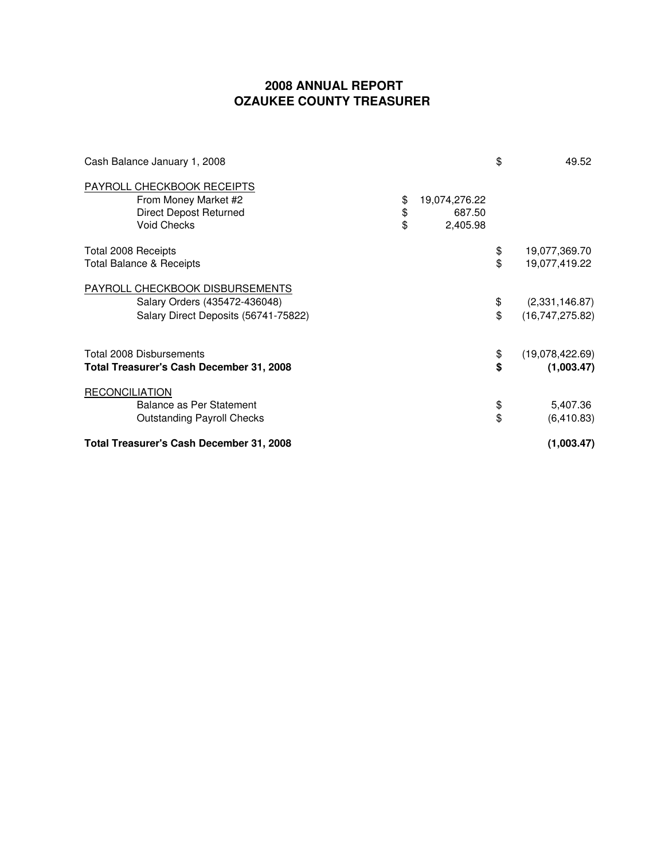| Cash Balance January 1, 2008             |                     | \$<br>49.52           |
|------------------------------------------|---------------------|-----------------------|
| PAYROLL CHECKBOOK RECEIPTS               |                     |                       |
| From Money Market #2                     | \$<br>19,074,276.22 |                       |
| <b>Direct Depost Returned</b>            | \$<br>687.50        |                       |
| <b>Void Checks</b>                       | \$<br>2,405.98      |                       |
| Total 2008 Receipts                      |                     | \$<br>19,077,369.70   |
| <b>Total Balance &amp; Receipts</b>      |                     | \$<br>19,077,419.22   |
| PAYROLL CHECKBOOK DISBURSEMENTS          |                     |                       |
| Salary Orders (435472-436048)            |                     | \$<br>(2,331,146.87)  |
| Salary Direct Deposits (56741-75822)     |                     | \$<br>(16,747,275.82) |
| <b>Total 2008 Disbursements</b>          |                     | \$<br>(19,078,422.69) |
| Total Treasurer's Cash December 31, 2008 |                     | \$<br>(1,003.47)      |
| <b>RECONCILIATION</b>                    |                     |                       |
| <b>Balance as Per Statement</b>          |                     | \$<br>5,407.36        |
| <b>Outstanding Payroll Checks</b>        |                     | \$<br>(6, 410.83)     |
| Total Treasurer's Cash December 31, 2008 | (1,003.47)          |                       |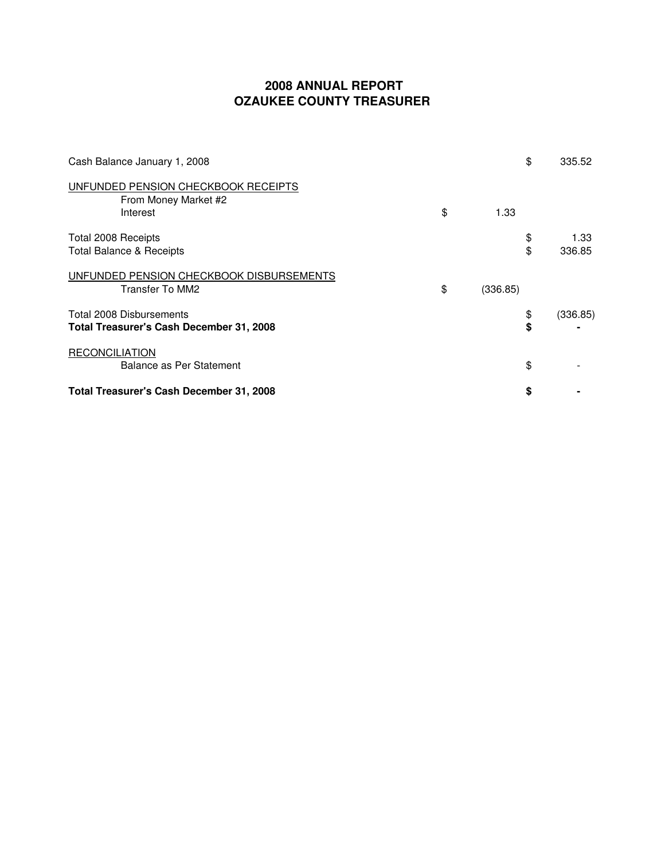| Cash Balance January 1, 2008                                                |                | \$       | 335.52         |
|-----------------------------------------------------------------------------|----------------|----------|----------------|
| UNFUNDED PENSION CHECKBOOK RECEIPTS<br>From Money Market #2<br>Interest     | \$<br>1.33     |          |                |
| Total 2008 Receipts<br><b>Total Balance &amp; Receipts</b>                  |                | \$<br>\$ | 1.33<br>336.85 |
| UNFUNDED PENSION CHECKBOOK DISBURSEMENTS<br>Transfer To MM2                 | \$<br>(336.85) |          |                |
| Total 2008 Disbursements<br><b>Total Treasurer's Cash December 31, 2008</b> |                | \$<br>\$ | (336.85)       |
| <b>RECONCILIATION</b><br>Balance as Per Statement                           |                | \$       |                |
| <b>Total Treasurer's Cash December 31, 2008</b>                             |                | \$       |                |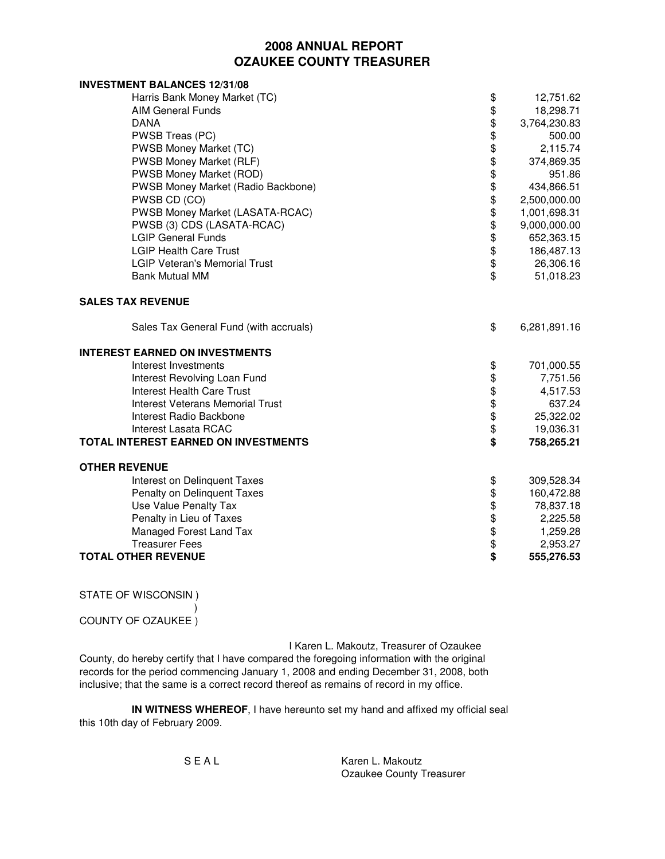| <b>INVESTMENT BALANCES 12/31/08</b>     |                    |              |
|-----------------------------------------|--------------------|--------------|
| Harris Bank Money Market (TC)           | \$                 | 12,751.62    |
| <b>AIM General Funds</b>                |                    | 18,298.71    |
| <b>DANA</b>                             | \$\$               | 3,764,230.83 |
| PWSB Treas (PC)                         |                    | 500.00       |
| PWSB Money Market (TC)                  | \$                 | 2,115.74     |
| PWSB Money Market (RLF)                 | \$                 | 374,869.35   |
| PWSB Money Market (ROD)                 | $\hat{\mathbb{S}}$ | 951.86       |
| PWSB Money Market (Radio Backbone)      | \$                 | 434,866.51   |
| PWSB CD (CO)                            |                    | 2,500,000.00 |
| PWSB Money Market (LASATA-RCAC)         |                    | 1,001,698.31 |
| PWSB (3) CDS (LASATA-RCAC)              |                    | 9,000,000.00 |
| <b>LGIP General Funds</b>               |                    | 652,363.15   |
| <b>LGIP Health Care Trust</b>           |                    | 186,487.13   |
| <b>LGIP Veteran's Memorial Trust</b>    | \$\$\$\$\$\$\$     | 26,306.16    |
| <b>Bank Mutual MM</b>                   | \$                 | 51,018.23    |
| <b>SALES TAX REVENUE</b>                |                    |              |
| Sales Tax General Fund (with accruals)  | \$                 | 6,281,891.16 |
| <b>INTEREST EARNED ON INVESTMENTS</b>   |                    |              |
| Interest Investments                    | \$                 | 701,000.55   |
| Interest Revolving Loan Fund            |                    | 7,751.56     |
| <b>Interest Health Care Trust</b>       |                    | 4,517.53     |
| <b>Interest Veterans Memorial Trust</b> | \$\$\$\$\$         | 637.24       |
| Interest Radio Backbone                 |                    | 25,322.02    |
| Interest Lasata RCAC                    |                    | 19,036.31    |
| TOTAL INTEREST EARNED ON INVESTMENTS    | $\ddot{s}$         | 758,265.21   |
| <b>OTHER REVENUE</b>                    |                    |              |
| Interest on Delinquent Taxes            | \$                 | 309,528.34   |
| Penalty on Delinquent Taxes             |                    | 160,472.88   |
| Use Value Penalty Tax                   |                    | 78,837.18    |
| Penalty in Lieu of Taxes                | \$\$\$\$           | 2,225.58     |
| Managed Forest Land Tax                 |                    | 1,259.28     |
| <b>Treasurer Fees</b>                   | \$                 | 2,953.27     |
| <b>TOTAL OTHER REVENUE</b>              | \$                 | 555,276.53   |

STATE OF WISCONSIN )

 $\hspace{0.5cm}$ COUNTY OF OZAUKEE )

I Karen L. Makoutz, Treasurer of Ozaukee County, do hereby certify that I have compared the foregoing information with the original records for the period commencing January 1, 2008 and ending December 31, 2008, both inclusive; that the same is a correct record thereof as remains of record in my office.

**IN WITNESS WHEREOF**, I have hereunto set my hand and affixed my official seal this 10th day of February 2009.

S E A L Karen L. Makoutz Ozaukee County Treasurer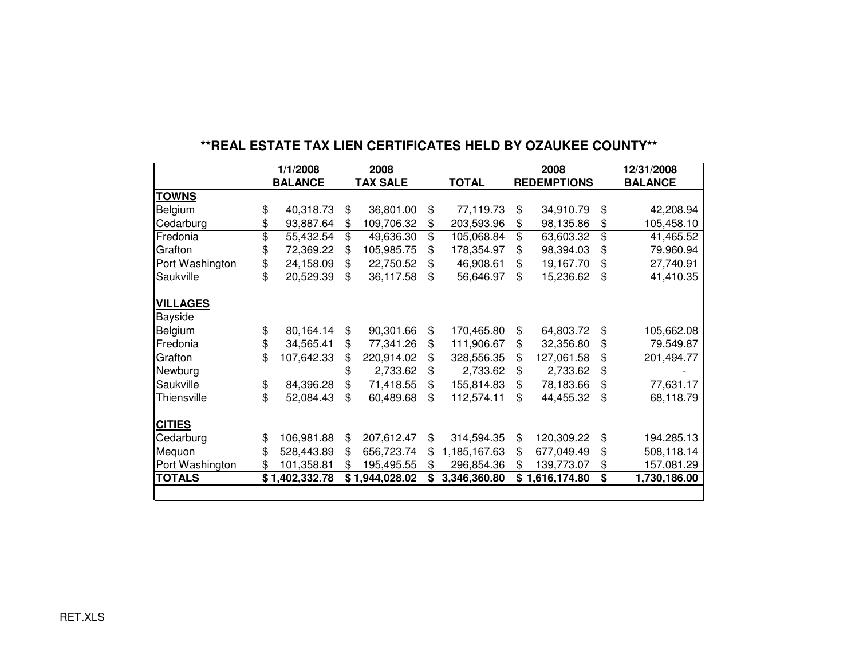|                 | 1/1/2008         | 2008 |                 |                    | 2008               |                | 12/31/2008   |  |
|-----------------|------------------|------|-----------------|--------------------|--------------------|----------------|--------------|--|
|                 | <b>BALANCE</b>   |      | <b>TAX SALE</b> | <b>TOTAL</b>       | <b>REDEMPTIONS</b> | <b>BALANCE</b> |              |  |
| <b>TOWNS</b>    |                  |      |                 |                    |                    |                |              |  |
| Belgium         | \$<br>40,318.73  | \$   | 36,801.00       | \$<br>77,119.73    | \$<br>34,910.79    | \$             | 42,208.94    |  |
| Cedarburg       | \$<br>93,887.64  | \$   | 109,706.32      | \$<br>203,593.96   | \$<br>98,135.86    | \$             | 105,458.10   |  |
| Fredonia        | \$<br>55,432.54  | \$   | 49,636.30       | \$<br>105,068.84   | \$<br>63,603.32    | \$             | 41,465.52    |  |
| Grafton         | \$<br>72,369.22  | \$   | 105,985.75      | \$<br>178,354.97   | \$<br>98,394.03    | \$             | 79,960.94    |  |
| Port Washington | \$<br>24,158.09  | \$   | 22,750.52       | \$<br>46,908.61    | \$<br>19,167.70    | \$             | 27,740.91    |  |
| Saukville       | \$<br>20,529.39  | \$   | 36,117.58       | \$<br>56,646.97    | \$<br>15,236.62    | \$             | 41,410.35    |  |
|                 |                  |      |                 |                    |                    |                |              |  |
| <b>VILLAGES</b> |                  |      |                 |                    |                    |                |              |  |
| Bayside         |                  |      |                 |                    |                    |                |              |  |
| Belgium         | \$<br>80,164.14  | \$   | 90,301.66       | \$<br>170,465.80   | \$<br>64,803.72    | \$             | 105,662.08   |  |
| Fredonia        | \$<br>34,565.41  | \$   | 77,341.26       | \$<br>111,906.67   | \$<br>32,356.80    | \$             | 79,549.87    |  |
| Grafton         | \$<br>107,642.33 | \$   | 220,914.02      | \$<br>328,556.35   | \$<br>127,061.58   | \$             | 201,494.77   |  |
| Newburg         |                  | \$   | 2,733.62        | \$<br>2,733.62     | \$<br>2,733.62     | \$             |              |  |
| Saukville       | \$<br>84,396.28  | \$   | 71,418.55       | \$<br>155,814.83   | \$<br>78,183.66    | \$             | 77,631.17    |  |
| Thiensville     | \$<br>52,084.43  | \$   | 60,489.68       | \$<br>112,574.11   | \$<br>44,455.32    | \$             | 68,118.79    |  |
|                 |                  |      |                 |                    |                    |                |              |  |
| <b>CITIES</b>   |                  |      |                 |                    |                    |                |              |  |
| Cedarburg       | \$<br>106,981.88 | \$   | 207,612.47      | \$<br>314,594.35   | \$<br>120,309.22   | \$             | 194,285.13   |  |
| Mequon          | \$<br>528,443.89 | \$   | 656,723.74      | \$<br>1,185,167.63 | \$<br>677,049.49   | \$             | 508,118.14   |  |
| Port Washington | \$<br>101,358.81 | \$   | 195,495.55      | \$<br>296,854.36   | \$<br>139,773.07   | \$             | 157,081.29   |  |
| <b>TOTALS</b>   | \$1,402,332.78   |      | \$1,944,028.02  | 3,346,360.80       | \$1,616,174.80     | \$             | 1,730,186.00 |  |
|                 |                  |      |                 |                    |                    |                |              |  |

## **\*\*REAL ESTATE TAX LIEN CERTIFICATES HELD BY OZAUKEE COUNTY\*\***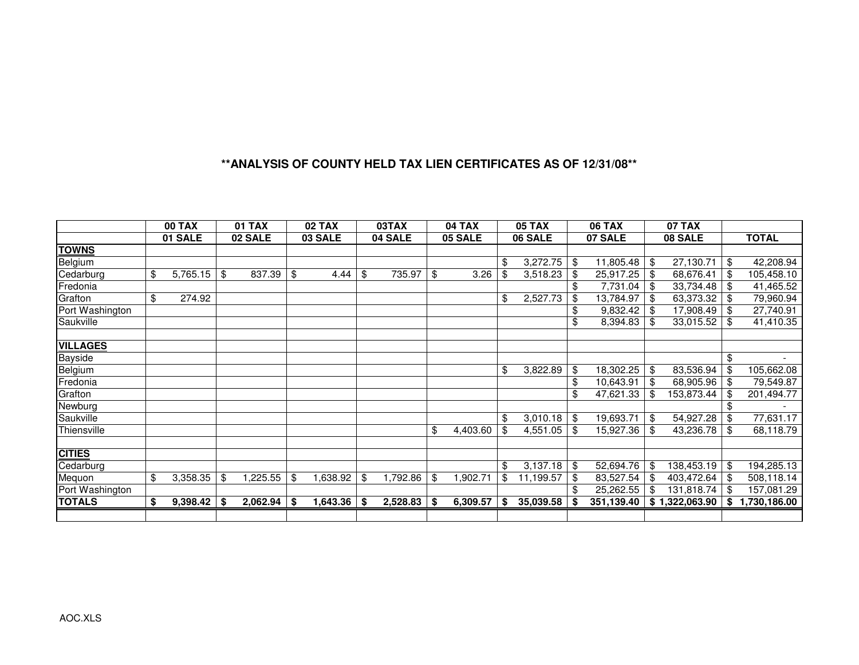### **\*\*ANALYSIS OF COUNTY HELD TAX LIEN CERTIFICATES AS OF 12/31/08\*\***

|                 |    | <b>00 TAX</b> | <b>01 TAX</b>  | <b>02 TAX</b>  |    | 03TAX    | <b>04 TAX</b>  |      | <b>05 TAX</b> | <b>06 TAX</b>   |     | <b>07 TAX</b> |                   |
|-----------------|----|---------------|----------------|----------------|----|----------|----------------|------|---------------|-----------------|-----|---------------|-------------------|
|                 |    | 01 SALE       | 02 SALE        | 03 SALE        |    | 04 SALE  | 05 SALE        |      | 06 SALE       | 07 SALE         |     | 08 SALE       | <b>TOTAL</b>      |
| <b>TOWNS</b>    |    |               |                |                |    |          |                |      |               |                 |     |               |                   |
| Belgium         |    |               |                |                |    |          |                | \$   | 3,272.75      | \$<br>11,805.48 | \$  | 27,130.71     | \$<br>42,208.94   |
| Cedarburg       | \$ | 5,765.15      | \$<br>837.39   | \$<br>4.44     | \$ | 735.97   | \$<br>3.26     | \$   | 3,518.23      | \$<br>25,917.25 |     | 68,676.41     | \$<br>105,458.10  |
| Fredonia        |    |               |                |                |    |          |                |      |               | \$<br>7,731.04  |     | 33,734.48     | \$<br>41,465.52   |
| Grafton         | \$ | 274.92        |                |                |    |          |                | \$   | 2,527.73      | 13,784.97       |     | 63,373.32     | \$<br>79,960.94   |
| Port Washington |    |               |                |                |    |          |                |      |               | 9,832.42        |     | 17,908.49     | \$<br>27,740.91   |
| Saukville       |    |               |                |                |    |          |                |      |               | \$<br>8,394.83  | \$  | 33,015.52     | \$<br>41,410.35   |
|                 |    |               |                |                |    |          |                |      |               |                 |     |               |                   |
| <b>VILLAGES</b> |    |               |                |                |    |          |                |      |               |                 |     |               |                   |
| <b>Bayside</b>  |    |               |                |                |    |          |                |      |               |                 |     |               | \$                |
| Belgium         |    |               |                |                |    |          |                | \$   | 3,822.89      | 18,302.25       | \$  | 83,536.94     | \$<br>105,662.08  |
| Fredonia        |    |               |                |                |    |          |                |      |               | 10,643.91       |     | 68,905.96     | \$<br>79,549.87   |
| Grafton         |    |               |                |                |    |          |                |      |               | 47,621.33       | -S  | 153,873.44    | 201,494.77        |
| Newburg         |    |               |                |                |    |          |                |      |               |                 |     |               | \$                |
| Saukville       |    |               |                |                |    |          |                | \$   | 3,010.18      | \$<br>19,693.71 | \$  | 54,927.28     | \$<br>77,631.17   |
| Thiensville     |    |               |                |                |    |          | \$<br>4,403.60 |      | 4,551.05      | 15,927.36       | \$  | 43,236.78     | \$<br>68,118.79   |
|                 |    |               |                |                |    |          |                |      |               |                 |     |               |                   |
| <b>CITIES</b>   |    |               |                |                |    |          |                |      |               |                 |     |               |                   |
| Cedarburg       |    |               |                |                |    |          |                | \$   | 3,137.18      | \$<br>52,694.76 | \$  | 138,453.19    | \$<br>194,285.13  |
| Mequon          | \$ | 3,358.35      | \$<br>1,225.55 | \$<br>1,638.92 | \$ | 1,792.86 | \$<br>1,902.71 | \$   | 11,199.57     | 83,527.54       | -\$ | 403,472.64    | \$<br>508,118.14  |
| Port Washington |    |               |                |                |    |          |                |      |               | 25,262.55       | -\$ | 131,818.74    | \$<br>157,081.29  |
| <b>TOTALS</b>   | S  | $9,398.42$ \$ | 2,062.94       | \$<br>1,643.36 | -S | 2,528.83 | \$<br>6,309.57 | - \$ | 35,039.58     | 351,139.40      | \$  | 1,322,063.90  | \$<br>,730,186.00 |
|                 |    |               |                |                |    |          |                |      |               |                 |     |               |                   |